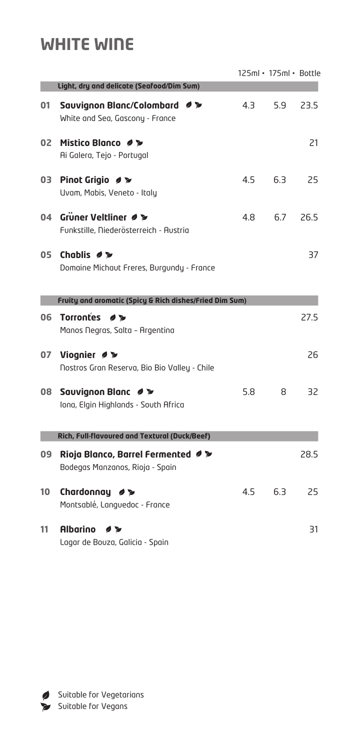## **WHITE WINE**

|    |                                                                                 |     | 125ml · 175ml · Bottle |      |
|----|---------------------------------------------------------------------------------|-----|------------------------|------|
|    | Light, dry and delicate (Seafood/Dim Sum)                                       |     |                        |      |
| 01 | Sauvignon Blanc/Colombard クシ<br>White and Sea, Gascony - France                 | 4.3 | 5.9                    | 23.5 |
| 02 | Mistico Blanco Ø ><br>Ai Galera, Tejo - Portugal                                |     |                        | 21   |
| 03 | Pinot Grigio Ø ><br>Uvam, Mabis, Veneto - Italy                                 | 4.5 | 6.3                    | 25   |
| 04 | Grüner Veltliner Ø<br>Funkstille, Niederösterreich - Austria                    | 4.8 | 6.7                    | 26.5 |
| 05 | Chablis #<br>Domaine Michaut Freres, Burgundy - France                          |     |                        | 37   |
|    | Fruity and aromatic (Spicy & Rich dishes/Fried Dim Sum)                         |     |                        |      |
| 06 | <b>Torrontes</b><br>$\overline{\phantom{a}}$<br>Manos Negras, Salta - Argentina |     |                        | 27.5 |
| 07 | Viognier Ø<br>Nostros Gran Reserva, Bio Bio Valley - Chile                      |     |                        | 26   |
| 80 | Sauvignon Blanc クシ<br>Iona, Elgin Highlands - South Africa                      | 5.8 | 8                      | 32   |
|    | Rich, Full-flavoured and Textural (Duck/Beef)                                   |     |                        |      |
| 09 | Rioja Blanco, Barrel Fermented 2<br>Bodegas Manzanos, Rioja - Spain             |     |                        | 28.5 |
| 10 | Chardonnay<br>$\overline{\mathcal{D}}$<br>Montsablé, Languedoc - France         | 4.5 | 6.3                    | 25   |
| 11 | <b>Albarino</b><br>$\overline{\mathcal{L}}$<br>Lagar de Bouza, Galicia - Spain  |     |                        | 31   |

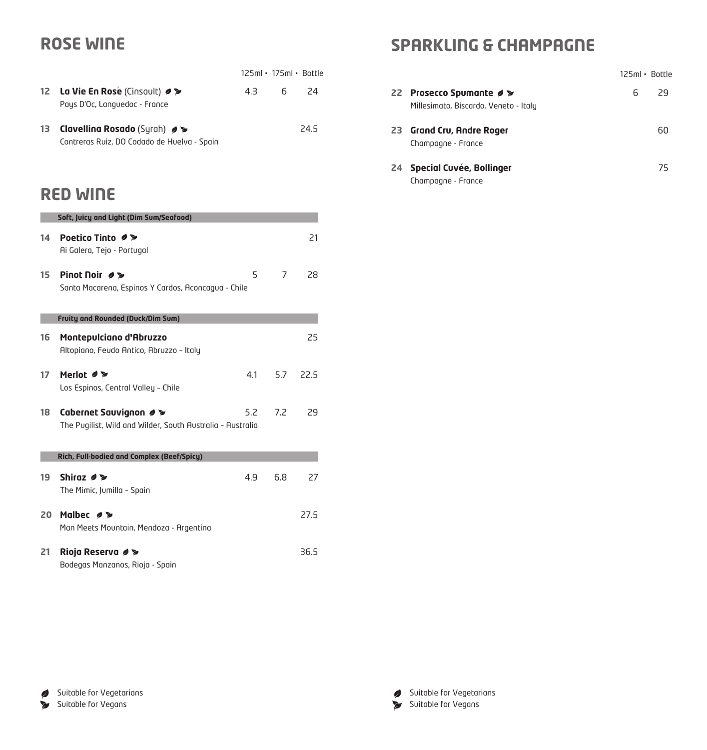## **ROSE WINE**

|                                                                               | $125ml \cdot 175ml \cdot Bottle$ |       |      |
|-------------------------------------------------------------------------------|----------------------------------|-------|------|
| 12 La Vie En Rose (Cinsault) 2<br>Pays D'Oc, Languedoc - France               | 4.3                              | - 6 - | - 74 |
| 13 Clavelling Rosado (Syrah) 0<br>Contreras Ruiz, DO Codado de Huelva - Spain |                                  |       | 24.5 |

### **RED WINE**

|    | Soft, Juicy and Light (Dim Sum/Seafood)                    |     |     |      |
|----|------------------------------------------------------------|-----|-----|------|
| 14 | Poetico Tinto Ø ≥                                          |     |     | 21   |
|    | Ai Galera, Tejo - Portugal                                 |     |     |      |
| 15 | Pinot Noir ク>                                              | 5   | 7   | 28   |
|    | Santa Macarena, Espinos Y Cardos, Aconcagua - Chile        |     |     |      |
|    | <b>Fruity and Rounded (Duck/Dim Sum)</b>                   |     |     |      |
| 16 | Montepulciano d'Abruzzo                                    |     |     | 25   |
|    | Altopiano, Feudo Antico, Abruzzo - Italy                   |     |     |      |
| 17 | Merlot $\bullet \geq$                                      | 4.1 | 5.7 | 22.5 |
|    | Los Espinos, Central Valley - Chile                        |     |     |      |
| 18 | Cabernet Sauvignon Ø                                       | 5.2 | 7.2 | 29   |
|    | The Pugilist, Wild and Wilder, South Australia - Australia |     |     |      |
|    | Rich, Full-bodied and Complex (Beef/Spicy)                 |     |     |      |
| 19 | Shiraz 0 >                                                 | 4.9 | 6.8 | 27   |
|    | The Mimic, Jumilla - Spain                                 |     |     |      |
| 20 | Malbec 0 >                                                 |     |     | 27.5 |
|    | Man Meets Mountain, Mendoza - Argentina                    |     |     |      |
| 21 | Rioja Reserva Ø ≥                                          |     |     | 36.5 |
|    | Bodegas Manzanos, Rioja - Spain                            |     |     |      |

## **SPARKLING & CHAMPAGNE**

|                                                                 | $125ml \cdot$ Bottle |
|-----------------------------------------------------------------|----------------------|
| 22 Prosecco Spumante #<br>Millesimato, Biscardo, Veneto - Italy | 6<br>79              |
| 23 Grand Cru, Andre Roger<br>Champagne - France                 | 60                   |
| 24 Special Cuvée, Bollinger<br>Champagne - France               | 75                   |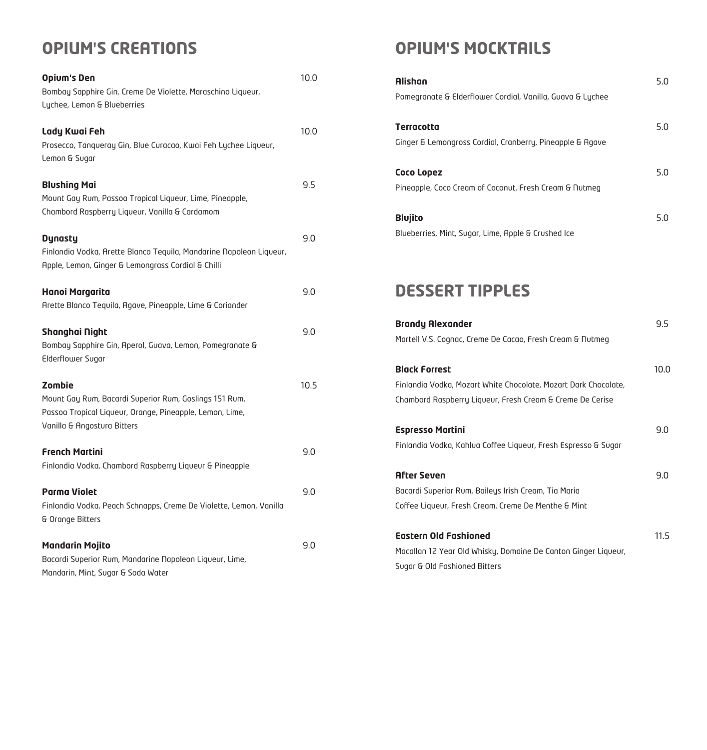# **OPIUM'S CREATIONS**

| <b>Opium's Den</b><br>Bombay Sapphire Gin, Creme De Violette, Maraschino Liqueur,<br>Lychee, Lemon & Blueberries                                                   | 10.0 |
|--------------------------------------------------------------------------------------------------------------------------------------------------------------------|------|
| Lady Kwai Feh<br>Prosecco, Tanqueray Gin, Blue Curacao, Kwai Feh Lychee Liqueur,<br>Lemon & Sugar                                                                  | 10.0 |
| <b>Blushing Mai</b><br>Mount Gay Rum, Passoa Tropical Liqueur, Lime, Pineapple,<br>Chambord Raspberry Liqueur, Vanilla & Cardamom                                  | 9.5  |
| <b>Dynasty</b><br>Finlandia Vodka, Arette Blanco Tequila, Mandarine Napoleon Liqueur,<br>Apple, Lemon, Ginger & Lemongrass Cordial & Chilli                        | 9.0  |
| <b>Hanoi Margarita</b><br>Arette Blanco Tequila, Agave, Pineapple, Lime & Coriander                                                                                | 9.0  |
| Shanghai Night<br>Bombay Sapphire Gin, Aperol, Guava, Lemon, Pomegranate &<br>Elderflower Sugar                                                                    | 9.0  |
| <b>Zombie</b><br>Mount Gay Rum, Bacardi Superior Rum, Goslings 151 Rum,<br>Passoa Tropical Liqueur, Orange, Pineapple, Lemon, Lime,<br>Vanilla & Angostura Bitters | 10.5 |
| <b>French Martini</b><br>Finlandia Vodka, Chambord Raspberry Liqueur & Pineapple                                                                                   | 9.0  |
| <b>Parma Violet</b><br>Finlandia Vodka, Peach Schnapps, Creme De Violette, Lemon, Vanilla<br>& Orange Bitters                                                      | 9.0  |
| <b>Mandarin Mojito</b><br>Bacardi Superior Rum, Mandarine Napoleon Liqueur, Lime,<br>Mandarin, Mint, Sugar & Soda Water                                            | 9.0  |

# **OPIUM'S MOCKTAILS**

| <b>Alishan</b><br>Pomegranate & Elderflower Cordial, Vanilla, Guava & Lychee                                                                         | 5.0  |
|------------------------------------------------------------------------------------------------------------------------------------------------------|------|
| <b>Terracotta</b><br>Ginger & Lemongross Cordial, Cranberry, Pineapple & Agave                                                                       | 5.0  |
| <b>Coco Lopez</b><br>Pineapple, Coco Cream of Coconut, Fresh Cream & Nutmeg                                                                          | 5.0  |
| <b>Blujito</b><br>Blueberries, Mint, Sugar, Lime, Apple & Crushed Ice                                                                                | 5.0  |
| <b>DESSERT TIPPLES</b>                                                                                                                               |      |
| <b>Brandy Alexander</b><br>Martell V.S. Cognac, Creme De Cacao, Fresh Cream & Nutmeg                                                                 | 9.5  |
| <b>Black Forrest</b><br>Finlandia Vodka, Mozart White Chocolate, Mozart Dark Chocolate,<br>Chambord Raspberry Liqueur, Fresh Cream & Creme De Cerise | 10.0 |
| <b>Espresso Martini</b><br>Finlandia Vodka, Kahlua Coffee Liqueur, Fresh Espresso & Sugar                                                            | 9.0  |
| <b>After Seven</b><br>Bacardi Superior Rum, Baileys Irish Cream, Tia Maria<br>Coffee Liqueur, Fresh Cream, Creme De Menthe & Mint                    | 9.0  |
| <b>Eastern Old Fashioned</b><br>Macallan 12 Year Old Whisky, Domaine De Canton Ginger Liqueur,<br>Sugar & Old Fashioned Bitters                      | 11.5 |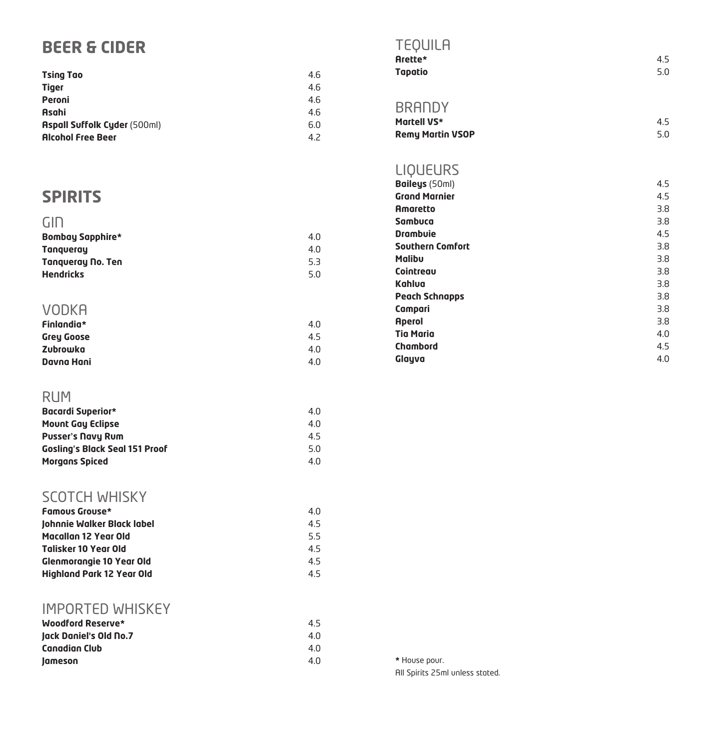## **BEER & CIDER**

| <b>Tsing Tao</b>                    | 4.6 |
|-------------------------------------|-----|
| <b>Tiger</b>                        | 4.6 |
| Peroni                              | 4.6 |
| Asahi                               | 4.6 |
| <b>Aspall Suffolk Cyder (500ml)</b> | 6.0 |
| <b>Alcohol Free Beer</b>            | 4.2 |

## **SPIRITS**

| GIN                      |     |
|--------------------------|-----|
| <b>Bombay Sapphire*</b>  | 4.0 |
| <b>Tanqueray</b>         | 4.0 |
| <b>Tangueray No. Ten</b> | 5.3 |
| <b>Hendricks</b>         | 5.0 |
|                          |     |

| VODKA             |     |
|-------------------|-----|
| <b>Finlandia*</b> | 4.0 |
| <b>Grey Goose</b> | 4.5 |
| Zubrowka          | 4.0 |
| Davna Hani        | 4.0 |

#### RUM

| <b>Bacardi Superior*</b>              | 4.0 |
|---------------------------------------|-----|
| <b>Mount Gay Eclipse</b>              | 4.0 |
| <b>Pusser's Navy Rum</b>              | 4.5 |
| <b>Gosling's Black Seal 151 Proof</b> | 5.0 |
| <b>Morgans Spiced</b>                 | 4.0 |

### SCOTCH WHISKY

| <b>Famous Grouse*</b>            | 4.0 |
|----------------------------------|-----|
| Johnnie Walker Black label       | 4.5 |
| <b>Macallan 12 Year Old</b>      | 5.5 |
| <b>Talisker 10 Year Old</b>      | 4.5 |
| <b>Glenmorangie 10 Year Old</b>  | 4.5 |
| <b>Highland Park 12 Year Old</b> | 4.5 |

### IMPORTED WHISKEY

| Woodford Reserve*             | 4.5 |
|-------------------------------|-----|
| <b>Jack Daniel's Old No.7</b> | 4.0 |
| Canadian Club                 | 4.0 |
| lameson                       | 4.0 |
|                               |     |

| EOUILI  |  |
|---------|--|
| Arette* |  |

| Arette* | 4.5 |
|---------|-----|
| Tapatio | 5.0 |

**BRANDY** 

| -----------             |     |
|-------------------------|-----|
| Martell VS*             | 4.5 |
| <b>Remy Martin VSOP</b> | 5.0 |

### **LIQUEURS**

| 4.5 |
|-----|
| 4.5 |
| 3.8 |
| 3.8 |
| 4.5 |
| 3.8 |
| 3.8 |
| 3.8 |
| 3.8 |
| 3.8 |
| 3.8 |
| 3.8 |
| 4.0 |
| 4.5 |
| 4.0 |
|     |

\* House pour.

All Spirits 25ml unless stated.